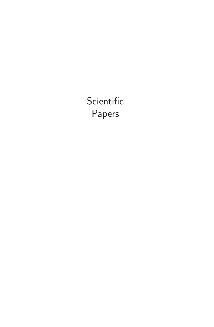**Scientific** Papers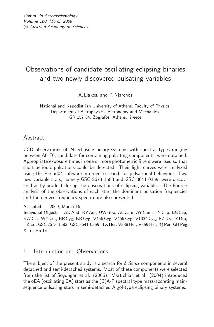# Observations of candidate oscillating eclipsing binaries and two newly discovered pulsating variables

A. Liakos, and P. Niarchos

National and Kapodistrian University of Athens, Faculty of Physics, Department of Astrophysics, Astronomy and Mechanics, GR 157 84, Zografos, Athens, Greece

# Abstract

CCD observations of 24 eclipsing binary systems with spectral types ranging between A0-F0, candidate for containing pulsating components, were obtained. Appropriate exposure times in one or more photometric filters were used so that short-periodic pulsations could be detected. Their light curves were analyzed using the Period04 software in order to search for pulsational behaviour. Two new variable stars, namely GSC 2673-1583 and GSC 3641-0359, were discovered as by-product during the observations of eclipsing variables. The Fourier analysis of the observations of each star, the dominant pulsation frequencies and the derived frequency spectra are also presented.

Accepted: 2009, March 16

Individual Objects: AD And, RY Aqr, UW Boo, AL Cam, AY Cam, TY Cap, EG Cep, RW Cet, WY Cet, BR Cyg, KR Cyg, V456 Cyg, V466 Cyg, V1034 Cyg, RZ Dra, Z Dra, TZ Eri, GSC 2673-1583, GSC 3641-0359, TX Her, V338 Her, V359 Her, IQ Per, GH Peg, X Tri, RS Tri

# 1. Introduction and Observations

The subject of the present study is a search for  $\delta$  *Scuti* components in several detached and semi-detached systems. Most of these components were selected from the list of Soydugan et al. (2006). Mkrtichian et al. (2004) introduced the oEA (oscillating EA) stars as the (B)A-F spectral type mass-accreting mainsequence pulsating stars in semi-detached Algol-type eclipsing binary systems.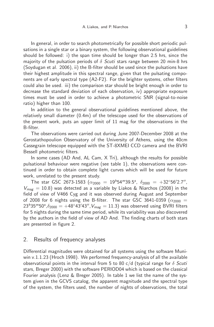In general, in order to search photometrically for possible short periodic pulsations in a single star or a binary system, the following observational guidelines should be followed: i) the span time should be longer than 2.5 hrs, since the majority of the pulsation periods of δ *Scuti* stars range between 20 min-8 hrs (Soydugan et al. 2006), ii) the B-filter should be used since the pulsations have their highest amplitude in this spectral range, given that the pulsating components are of early spectral type (A2-F2). For the brighter systems, other filters could also be used. iii) the comparison star should be bright enough in order to decrease the standard deviation of each observation, iv) appropriate exposure times must be used in order to achieve a photometric SNR (signal-to-noise ratio) higher than 100.

In addition to the general observational guidelines mentioned above, the relatively small diameter (0.4m) of the telescope used for the observations of the present work, puts an upper limit of 11 mag for the observations in the B-filter.

The observations were carried out during June 2007-December 2008 at the Gerostathopoulion Observatory of the University of Athens, using the 40cm Cassegrain telescope equipped with the ST-8XMEI CCD camera and the BVRI Bessell photometric filters.

In some cases (AD And, AL Cam, X Tri), although the results for possible pulsational behaviour were negative (see table 1), the observations were continued in order to obtain complete light curves which will be used for future work, unrelated to the present study.

The star GSC 2673-1583  $(\alpha_{2000} = 19^{h}54^{m}39.5^{s}, \ \delta_{2000} = +32^{\circ}56'2.7'',$  $V_{\text{max}} = 10.8$ ) was detected as a variable by Liakos & Niarchos (2008) in the field of view of V466 Cyg and it was observed during August and September of 2008 for 6 nights using the B-filter. The star GSC 3641-0359 ( $\alpha_{2000}$  = 23<sup>h</sup>35<sup>m</sup>50<sup>s</sup>, $\delta_{2000} = +48^\circ 43'43''$ , $V_{mag} = 11.3$ ) was observed using BVRI filters for 5 nights during the same time period, while its variability was also discovered by the authors in the field of view of AD And. The finding charts of both stars are presented in figure 2.

#### 2. Results of frequency analyses

Differential magnitudes were obtained for all systems using the software Muniwin v.1.1.23 (Hroch 1998). We performed frequency-analysis of all the available observational points in the interval from 5 to 80 c/d (typical range for δ *Scuti* stars, Breger 2000) with the software PERIOD04 which is based on the classical Fourier analysis (Lenz & Breger 2005). In table 1 we list the name of the system given in the GCVS catalog, the apparent magnitude and the spectral type of the system, the filters used, the number of nights of observations, the total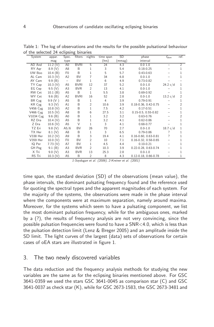| System          | appar.  | Spec.             | filters      | nights         | time span      | <b>SD</b> | phase                      | $f_{dom}$ | ref.           |
|-----------------|---------|-------------------|--------------|----------------|----------------|-----------|----------------------------|-----------|----------------|
|                 | mag     | type              |              |                | (hrs)          | (mmag)    | interval                   |           |                |
| AD And          | 11.2(V) | A0                | <b>BVRI</b>  | 5              | 24             | 4.3       | 0.01.0                     | -         | $\overline{2}$ |
| RY Agr          | 8.9(V)  | A <sub>8</sub>    | B            | 1              | 3              | 5.4       | $0.18 - 0.25$              |           | 1              |
| UW Boo          | 10.4(B) | F <sub>0</sub>    | <sub>B</sub> | 1              | 5              | 5.7       | $0.43 - 0.63$              |           | 1              |
| AL Cam          | 10.3(V) | A2                | <b>BV</b>    | 7              | 34             | 6.8       | $0.0 - 1.0$                |           | 1              |
| AY Cam          | 9.9(B)  | $\qquad \qquad -$ | <b>BV</b>    | 1              | 6              | 4.9       | $0.73 - 0.82$              |           |                |
| TY Cap          | 10.3(V) | A <sub>5</sub>    | <b>BVRI</b>  | 12             | 37             | 5.2       | $0.0 - 1.0$                | 24.2 c/d  | 1              |
| EG Cep          | 9.5(V)  | A3                | <b>BVR</b>   | 2              | 13             | 4.1       | $0.0 - 1.0$                |           | 1              |
| RW Cet          | 10.1(B) | A <sub>5</sub>    | B            | 1              | 5.5            | 3.8       | $0.69 - 0.92$              |           | 1              |
| WY Cet          | 9.6(B)  | A <sub>2</sub>    | <b>BVRI</b>  | 16             | 52             | 2.8       | $0.0 - 1.0$                | 13.2 c/d  | $\overline{2}$ |
| BR Cyg          | 9.9(V)  | A <sub>5</sub>    | B            | 1              | $\overline{4}$ | 3.9       | $0.79 - 0.91$              |           | 1              |
| KR Cyg          | 9.3(V)  | A1                | B            | $\overline{2}$ | 10.6           | 3.9       | $0.18 - 0.36, 0.42 - 0.75$ |           | 2              |
| V456 Cyg        | 10.8(V) | A2                | B            | 1              | 7.5            | 4.2       | $0.17 - 0.51$              |           | 1              |
| V466 Cyg        | 10.5(V) | A8                | B            | 6              | 27.5           | 3.1       | $0.15 - 0.5, 0.55 - 0.82$  |           | 1              |
| V1034 Cyg       | 9.6(B)  | A0                | B            | 1              | 3.2            | 3.2       | $0.63 - 0.76$              |           | 2              |
| RZ Dra          | 10.4(V) | A <sub>5</sub>    | B            | 1              | 3.2            | 4.1       | $0.62 - 0.86$              |           | 1              |
| Z Dra           | 10.6(V) | A <sub>5</sub>    | $\vee$       | 1              | 3              | 4.1       | $0.68 - 0.77$              |           | 1              |
| TZ Eri          | 9.8(V)  | A5/6              | BV           | 26             | 70             | 2.7       | $0.0 - 1.0$                | 18.7 c/d  | 1              |
| TX Her          | 8.1(V)  | A8                | B            | 1              | 3              | 6.5       | $0.79 - 0.86$              |           | 1              |
| <b>V338 Her</b> | 10.2(V) | A9                | B            | 3              | 19.4           | 4.1       | $0.16 - 0.60, 0.63 - 0.81$ | ?         | 1              |
| V359 Her        | 10.0(V) | F <sub>0</sub>    | <b>BV</b>    | 2              | 10             | 7.1       | $0.16 - 0.32, 0.58 - 0.65$ |           | 1              |
| IQ Per          | 7.73(V) | A7                | <b>BV</b>    | 1              | 4.5            | 4.4       | $0.10 - 0.21$              |           |                |
| GH Peg          | 9.1(B)  | A3                | <b>BVR</b>   | $\overline{2}$ | 10.3           | 3.9       | 0.22-0.28, 0.63-0.74       |           |                |
| X Tri           | 9.0(V)  | A3                | <b>BVR</b>   | 13             | 25.3           | 2.8       | $0.0 - 1.0$                |           | 1              |
| RS Tri          | 10.3(V) | A <sub>5</sub>    | B            | 2              | 8              | 4.3       | $0.12 - 0.18, 0.66 - 0.78$ |           | 1              |

Table 1: The log of observations and the results for the possible pulsational behaviour of the selected 24 eclipsing binaries

*1-Soydugan et al. (2006), 2-Kreiner et al. (2001)*

time span, the standard deviation (SD) of the observations (mean value), the phase intervals, the dominant pulsating frequency found and the reference used for quoting the spectral types and the apparent magnitudes of each system. For the majority of the systems, the observations were made in the phase interval where the components were at maximum separation, namely around maxima. Moreover, for the systems which seem to have a pulsating component, we list the most dominant pulsation frequency, while for the ambiguous ones, marked by a (?), the results of frequency analysis are not very convincing, since the possible pulsation frequencies were found to have a SNR<4.0, which is less than the pulsation detection limit (Lenz & Breger 2005) and an amplitude inside the SD limit. The light curves of the largest (data) sets of observations for certain cases of oEA stars are illustrated in figure 1.

## 3. The two newly discovered variables

The data reduction and the frequency analysis methods for studying the new variables are the same as for the eclipsing binaries mentioned above. For GSC 3641-0359 we used the stars GSC 3641-0045 as comparison star (C) and GSC 3641-0037 as check star (K), while for GSC 2673-1583, the GSC 2673-3481 and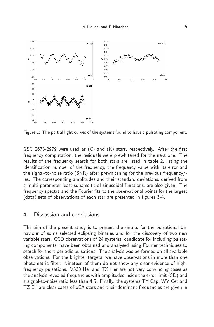

Figure 1: The partial light curves of the systems found to have a pulsating component.

GSC 2673-2979 were used as (C) and (K) stars, respectively. After the first frequency computation, the residuals were prewhitened for the next one. The results of the frequency search for both stars are listed in table 2, listing the identification number of the frequency, the frequency value with its error and the signal-to-noise ratio (SNR) after prewhitening for the previous frequency/ ies. The corresponding amplitudes and their standard deviations, derived from a multi-parameter least-squares fit of sinusoidal functions, are also given. The frequency spectra and the Fourier fits to the observational points for the largest (data) sets of observations of each star are presented in figures 3-4.

## 4. Discussion and conclusions

The aim of the present study is to present the results for the pulsational behaviour of some selected eclipsing binaries and for the discovery of two new variable stars. CCD observations of 24 systems, candidate for including pulsating components, have been obtained and analysed using Fourier techniques to search for short-periodic pulsations. The analysis was performed on all available observations. For the brighter targets, we have observations in more than one photometric filter. Nineteen of them do not show any clear evidence of highfrequency pulsations. V338 Her and TX Her are not very convincing cases as the analysis revealed frequencies with amplitudes inside the error limit (SD) and a signal-to-noise ratio less than 4.5. Finally, the systems TY Cap, WY Cet and TZ Eri are clear cases of oEA stars and their dominant frequencies are given in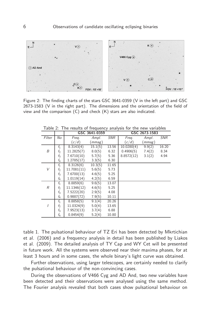

Figure 2: The finding charts of the stars GSC 3641-0359 (V in the left part) and GSC 2673-1583 (V in the right part). The dimensions and the orientation of the field of view and the comparison (C) and check (K) stars are also indicated.

|        |                |             | GSC 3641-0359 |            | GSC 2673-1583 |        |            |  |
|--------|----------------|-------------|---------------|------------|---------------|--------|------------|--|
| Filter | No             | Freq.       | Ampl.         | <b>SNR</b> | Freg.         | Ampl.  | <b>SNR</b> |  |
|        |                | (c/d)       | (mmag)        |            | (c/d)         | (mmag) |            |  |
|        | $f_1$          | 8.3143(4)   | 15.1(5)       | 13.56      | 10.0280(4)    | 9.9(2) | 16.20      |  |
| Β      | $f_2$          | 11.2825(7)  | 8.0(5)        | 6.32       | 0.4906(5)     | 7.4(2) | 8.34       |  |
|        | $f_3$          | 7.6710(10)  | 5.7(5)        | 5.36       | 8.8572(12)    | 3.1(2) | 4.94       |  |
|        | f4             | 1.2785(17)  | 3.3(5)        | 6.30       |               |        |            |  |
|        | $f_1$          | 8.3126(6)   | 10.3(5)       | 11.65      |               |        |            |  |
| V      | $f_2$          | 11.7081(11) | 5.6(5)        | 5.73       |               |        |            |  |
|        | $f_3$          | 7.6700(13)  | 4.6(5)        | 5.25       |               |        |            |  |
|        | f <sub>4</sub> | 1.0119(14)  | 4.2(5)        | 6.59       |               |        |            |  |
|        | $f_1$          | 8.8859(6)   | 9.6(5)        | 13.07      |               |        |            |  |
| R      | $f_2$          | 11.1346(12) | 4.6(5)        | 5.25       |               |        |            |  |
|        | $f_3$          | 7.5222(20)  | 2.9(5)        | 4.08       |               |        |            |  |
|        | f <sub>4</sub> | 0.9887(72)  | 7.9(5)        | 10.11      |               |        |            |  |
|        | $f_1$          | 8.8858(5)   | 9.1(4)        | 20.26      |               |        |            |  |
|        | $f_2$          | 11.0324(9)  | 5.0(4)        | 13.65      |               |        |            |  |
|        | $f_3$          | 7.9523(13)  | 3.7(4)        | 6.88       |               |        |            |  |
|        | f <sub>4</sub> | 0.8454(9)   | 5.2(4)        | 10.80      |               |        |            |  |

Table 2: The results of frequency analysis for the new variables

table 1. The pulsational behaviour of TZ Eri has been detected by Mkrtichian et al. (2006) and a frequency analysis in detail has been published by Liakos et al. (2009). The detailed analysis of TY Cap and WY Cet will be presented in future work. All the systems were observed near their maxima phases, for at least 3 hours and in some cases, the whole binary's light curve was obtained.

Further observations, using larger telescopes, are certainly needed to clarify the pulsational behaviour of the non-convincing cases.

During the observations of V466 Cyg and AD And, two new variables have been detected and their observations were analysed using the same method. The Fourier analysis revealed that both cases show pulsational behaviour on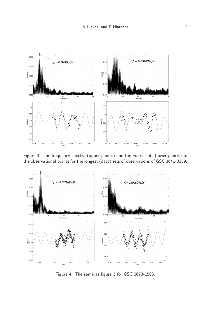

Figure 3: The frequency spectra (upper panels) and the Fourier fits (lower panels) to the observational points for the longest (data) sets of observations of GSC 3641-0359.



Figure 4: The same as figure 3 for GSC 2673-1583.